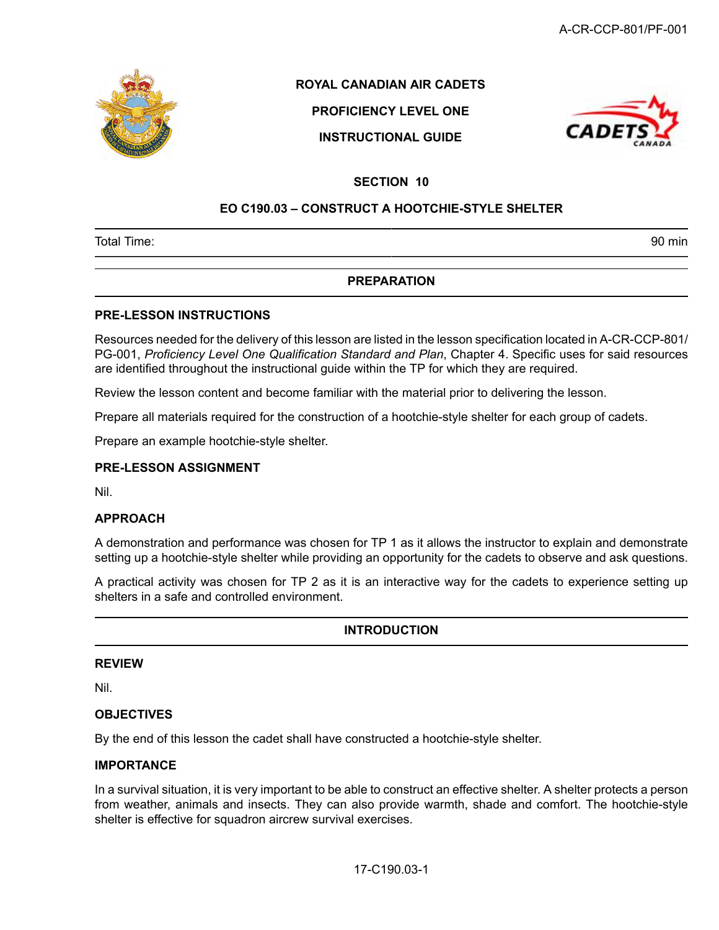

# **ROYAL CANADIAN AIR CADETS**

# **PROFICIENCY LEVEL ONE**

**INSTRUCTIONAL GUIDE**



# **SECTION 10**

# **EO C190.03 – CONSTRUCT A HOOTCHIE-STYLE SHELTER**

Total Time: 90 min

# **PREPARATION**

#### **PRE-LESSON INSTRUCTIONS**

Resources needed for the delivery of this lesson are listed in the lesson specification located in A-CR-CCP-801/ PG-001, *Proficiency Level One Qualification Standard and Plan*, Chapter 4. Specific uses for said resources are identified throughout the instructional guide within the TP for which they are required.

Review the lesson content and become familiar with the material prior to delivering the lesson.

Prepare all materials required for the construction of a hootchie-style shelter for each group of cadets.

Prepare an example hootchie-style shelter.

## **PRE-LESSON ASSIGNMENT**

Nil.

## **APPROACH**

A demonstration and performance was chosen for TP 1 as it allows the instructor to explain and demonstrate setting up a hootchie-style shelter while providing an opportunity for the cadets to observe and ask questions.

A practical activity was chosen for TP 2 as it is an interactive way for the cadets to experience setting up shelters in a safe and controlled environment.

## **INTRODUCTION**

#### **REVIEW**

Nil.

## **OBJECTIVES**

By the end of this lesson the cadet shall have constructed a hootchie-style shelter.

#### **IMPORTANCE**

In a survival situation, it is very important to be able to construct an effective shelter. A shelter protects a person from weather, animals and insects. They can also provide warmth, shade and comfort. The hootchie-style shelter is effective for squadron aircrew survival exercises.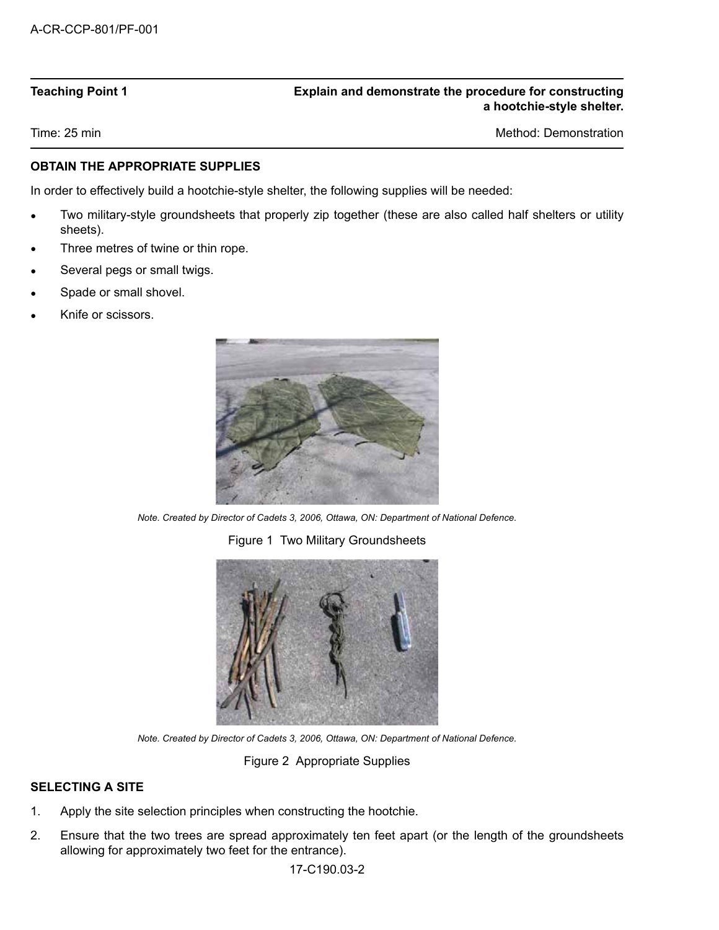# **Teaching Point 1 Explain and demonstrate the procedure for constructing a hootchie-style shelter.**

Time: 25 min Method: Demonstration Number of Time: 25 min Method: Demonstration Number of Time: 25 min Method: Demonstration Number of Time: 25 min Method: Demonstration Number of Time: 25 min Method: Demonstration Number

# **OBTAIN THE APPROPRIATE SUPPLIES**

In order to effectively build a hootchie-style shelter, the following supplies will be needed:

- Two military-style groundsheets that properly zip together (these are also called half shelters or utility sheets).
- Three metres of twine or thin rope.
- Several pegs or small twigs.
- Spade or small shovel.
- Knife or scissors.



*Note. Created by Director of Cadets 3, 2006, Ottawa, ON: Department of National Defence.*

Figure 1 Two Military Groundsheets



*Note. Created by Director of Cadets 3, 2006, Ottawa, ON: Department of National Defence.*

Figure 2 Appropriate Supplies

# **SELECTING A SITE**

- 1. Apply the site selection principles when constructing the hootchie.
- 2. Ensure that the two trees are spread approximately ten feet apart (or the length of the groundsheets allowing for approximately two feet for the entrance).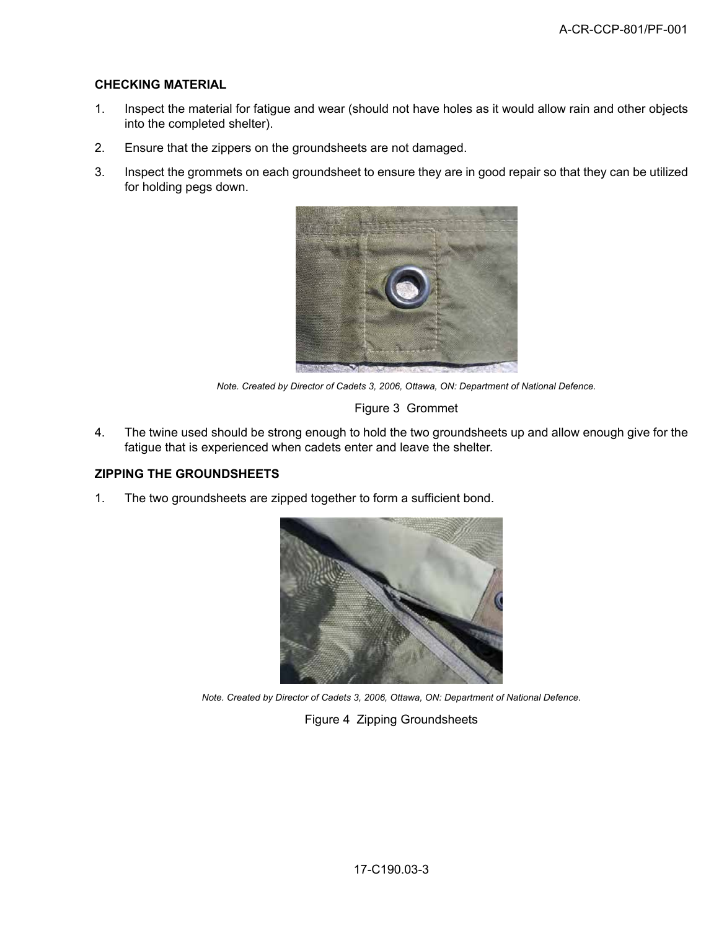## **CHECKING MATERIAL**

- 1. Inspect the material for fatigue and wear (should not have holes as it would allow rain and other objects into the completed shelter).
- 2. Ensure that the zippers on the groundsheets are not damaged.
- 3. Inspect the grommets on each groundsheet to ensure they are in good repair so that they can be utilized for holding pegs down.



*Note. Created by Director of Cadets 3, 2006, Ottawa, ON: Department of National Defence.*

#### Figure 3 Grommet

4. The twine used should be strong enough to hold the two groundsheets up and allow enough give for the fatigue that is experienced when cadets enter and leave the shelter.

# **ZIPPING THE GROUNDSHEETS**

1. The two groundsheets are zipped together to form a sufficient bond.



*Note. Created by Director of Cadets 3, 2006, Ottawa, ON: Department of National Defence.*

Figure 4 Zipping Groundsheets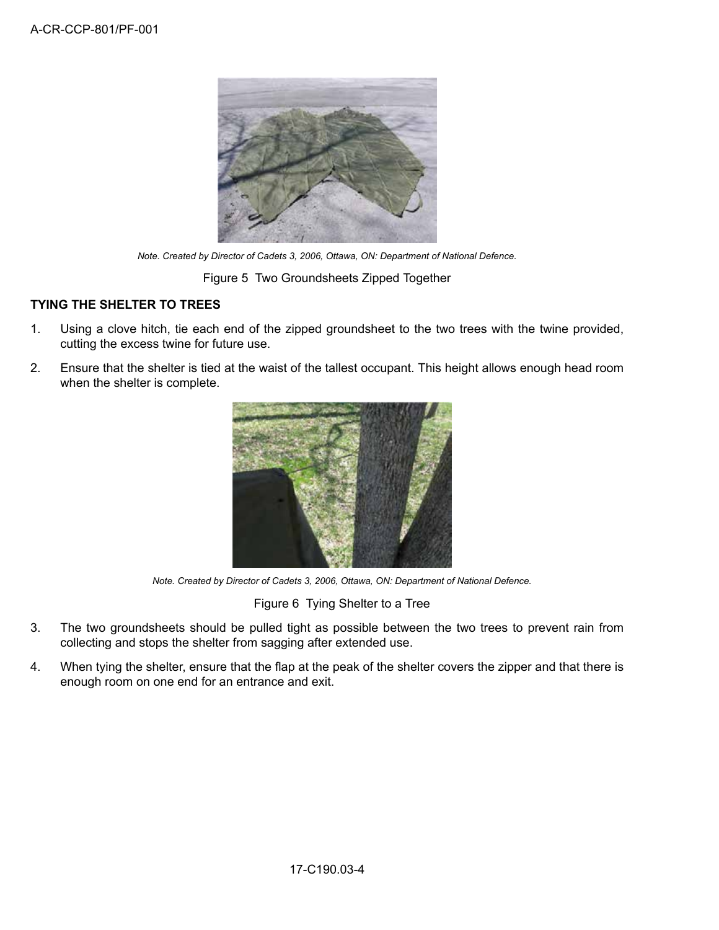

*Note. Created by Director of Cadets 3, 2006, Ottawa, ON: Department of National Defence.*

Figure 5 Two Groundsheets Zipped Together

# **TYING THE SHELTER TO TREES**

- 1. Using a clove hitch, tie each end of the zipped groundsheet to the two trees with the twine provided, cutting the excess twine for future use.
- 2. Ensure that the shelter is tied at the waist of the tallest occupant. This height allows enough head room when the shelter is complete.



*Note. Created by Director of Cadets 3, 2006, Ottawa, ON: Department of National Defence.*

Figure 6 Tying Shelter to a Tree

- 3. The two groundsheets should be pulled tight as possible between the two trees to prevent rain from collecting and stops the shelter from sagging after extended use.
- 4. When tying the shelter, ensure that the flap at the peak of the shelter covers the zipper and that there is enough room on one end for an entrance and exit.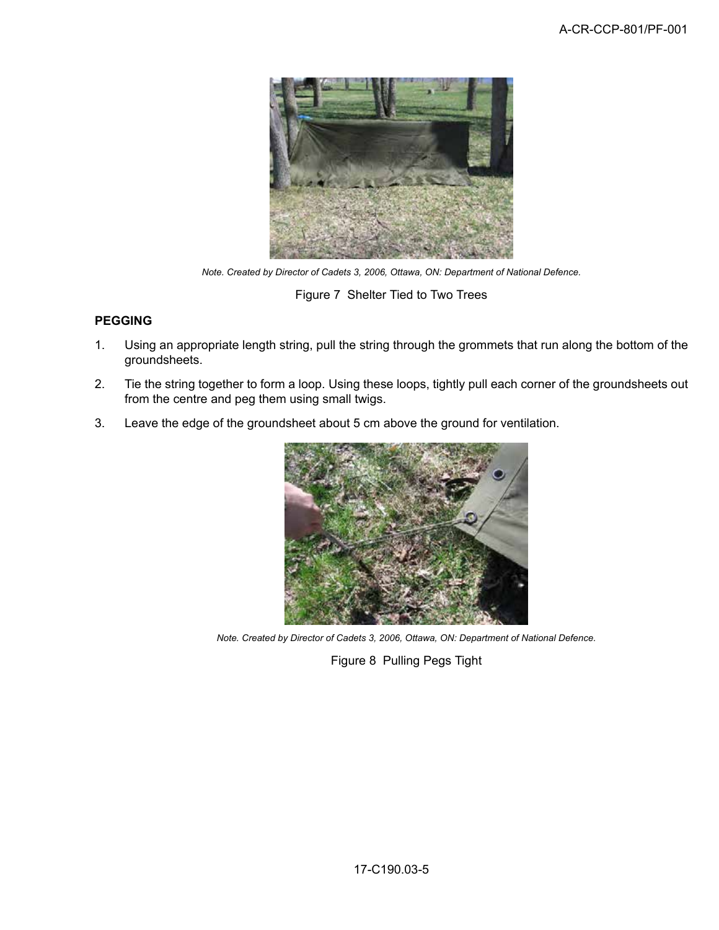

*Note. Created by Director of Cadets 3, 2006, Ottawa, ON: Department of National Defence.*

Figure 7 Shelter Tied to Two Trees

# **PEGGING**

- 1. Using an appropriate length string, pull the string through the grommets that run along the bottom of the groundsheets.
- 2. Tie the string together to form a loop. Using these loops, tightly pull each corner of the groundsheets out from the centre and peg them using small twigs.
- 3. Leave the edge of the groundsheet about 5 cm above the ground for ventilation.



*Note. Created by Director of Cadets 3, 2006, Ottawa, ON: Department of National Defence.*

Figure 8 Pulling Pegs Tight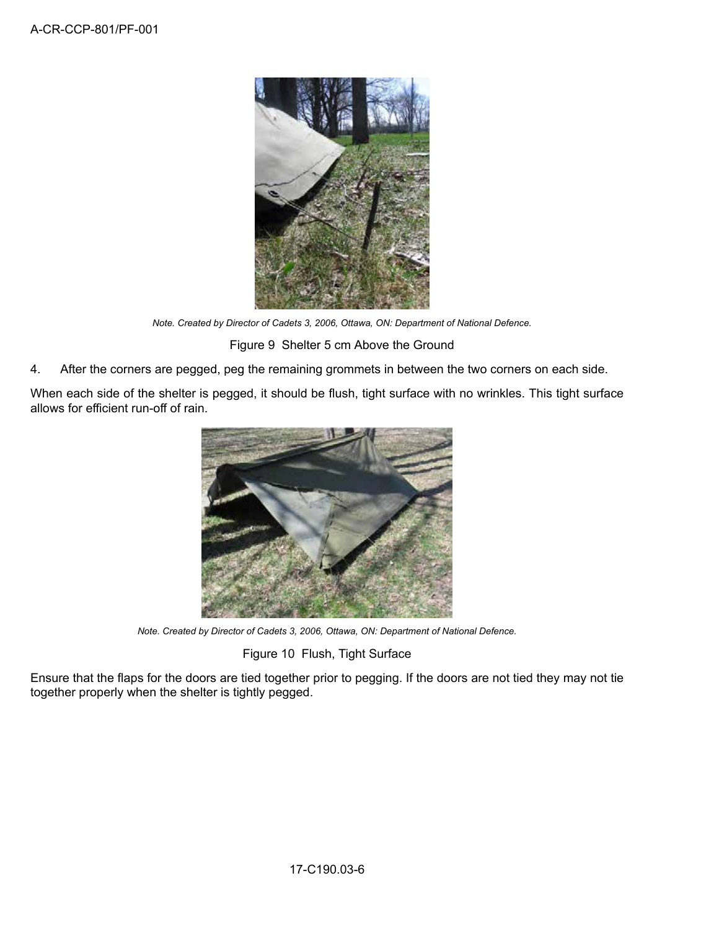

*Note. Created by Director of Cadets 3, 2006, Ottawa, ON: Department of National Defence.*

Figure 9 Shelter 5 cm Above the Ground

4. After the corners are pegged, peg the remaining grommets in between the two corners on each side.

When each side of the shelter is pegged, it should be flush, tight surface with no wrinkles. This tight surface allows for efficient run-off of rain.



*Note. Created by Director of Cadets 3, 2006, Ottawa, ON: Department of National Defence.*

Figure 10 Flush, Tight Surface

Ensure that the flaps for the doors are tied together prior to pegging. If the doors are not tied they may not tie together properly when the shelter is tightly pegged.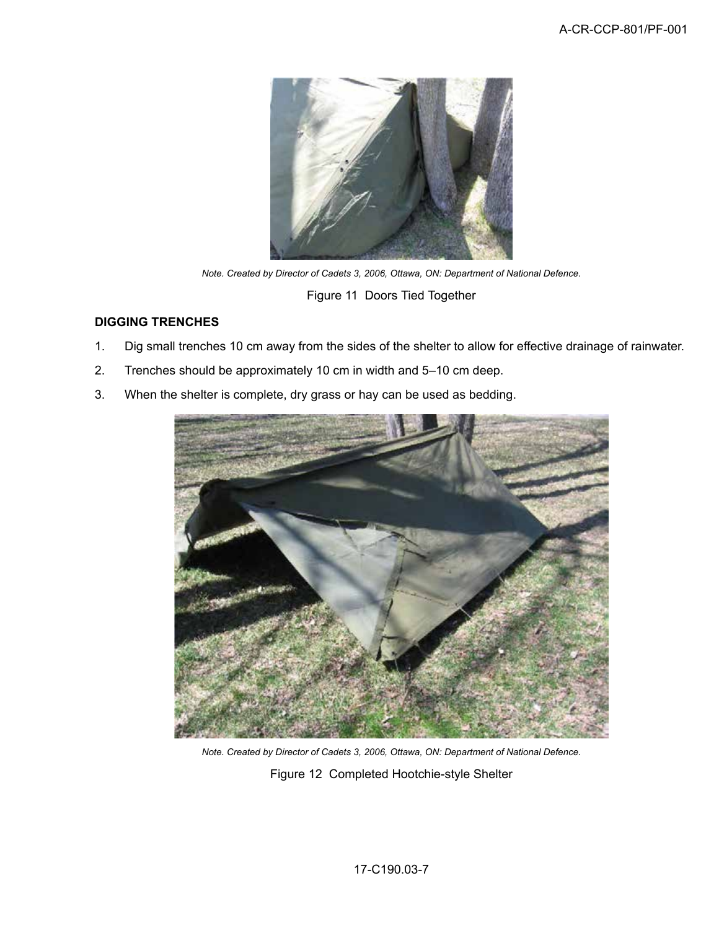

*Note. Created by Director of Cadets 3, 2006, Ottawa, ON: Department of National Defence.*

Figure 11 Doors Tied Together

# **DIGGING TRENCHES**

- 1. Dig small trenches 10 cm away from the sides of the shelter to allow for effective drainage of rainwater.
- 2. Trenches should be approximately 10 cm in width and 5–10 cm deep.
- 3. When the shelter is complete, dry grass or hay can be used as bedding.



*Note. Created by Director of Cadets 3, 2006, Ottawa, ON: Department of National Defence.* Figure 12 Completed Hootchie-style Shelter

17-C190.03-7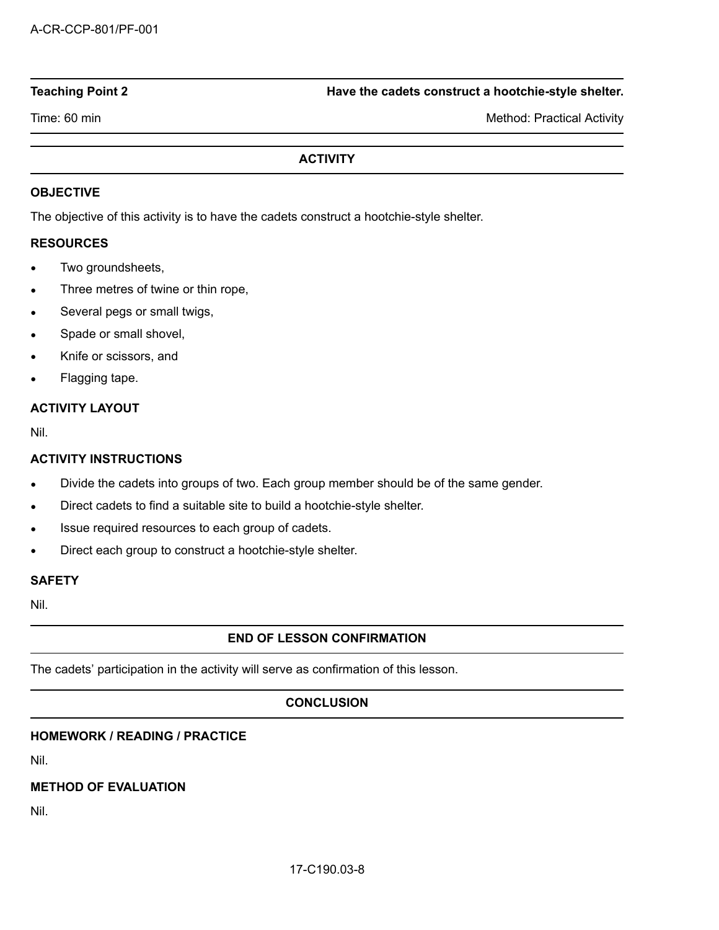#### **Teaching Point 2 Have the cadets construct a hootchie-style shelter.**

Time: 60 min Method: Practical Activity

# **ACTIVITY**

### **OBJECTIVE**

The objective of this activity is to have the cadets construct a hootchie-style shelter.

#### **RESOURCES**

- Two groundsheets,
- Three metres of twine or thin rope,
- Several pegs or small twigs,
- Spade or small shovel,
- Knife or scissors, and
- Flagging tape.

# **ACTIVITY LAYOUT**

Nil.

# **ACTIVITY INSTRUCTIONS**

- Divide the cadets into groups of two. Each group member should be of the same gender.
- Direct cadets to find a suitable site to build a hootchie-style shelter.
- Issue required resources to each group of cadets.
- Direct each group to construct a hootchie-style shelter.

#### **SAFETY**

Nil.

# **END OF LESSON CONFIRMATION**

The cadets' participation in the activity will serve as confirmation of this lesson.

## **CONCLUSION**

## **HOMEWORK / READING / PRACTICE**

Nil.

# **METHOD OF EVALUATION**

Nil.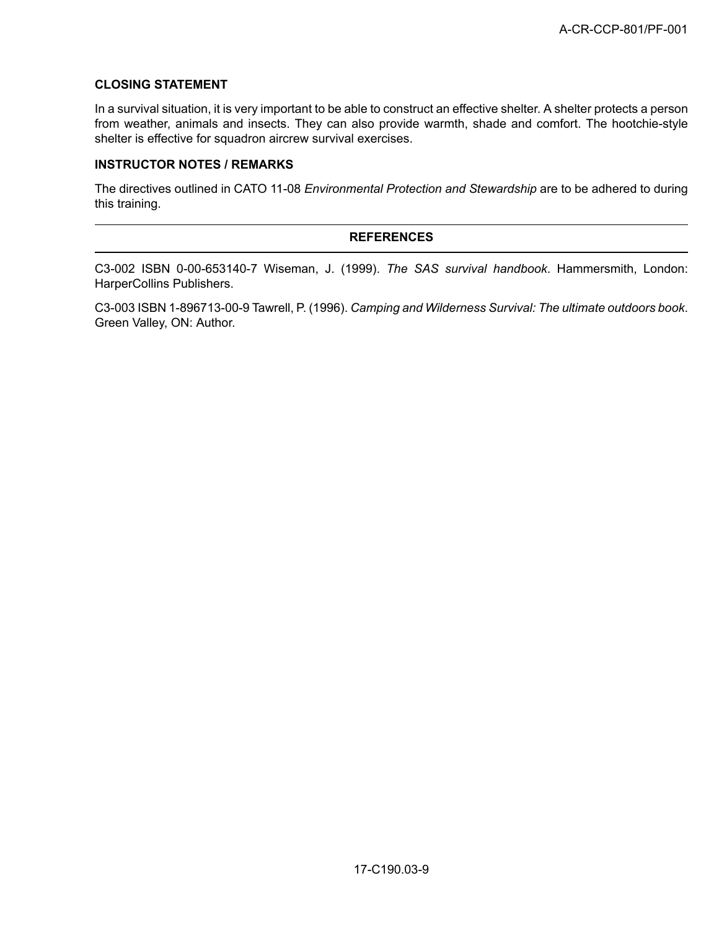## **CLOSING STATEMENT**

In a survival situation, it is very important to be able to construct an effective shelter. A shelter protects a person from weather, animals and insects. They can also provide warmth, shade and comfort. The hootchie-style shelter is effective for squadron aircrew survival exercises.

#### **INSTRUCTOR NOTES / REMARKS**

The directives outlined in CATO 11-08 *Environmental Protection and Stewardship* are to be adhered to during this training.

#### **REFERENCES**

C3-002 ISBN 0-00-653140-7 Wiseman, J. (1999). *The SAS survival handbook*. Hammersmith, London: HarperCollins Publishers.

C3-003 ISBN 1-896713-00-9 Tawrell, P. (1996). *Camping and Wilderness Survival: The ultimate outdoors book*. Green Valley, ON: Author.